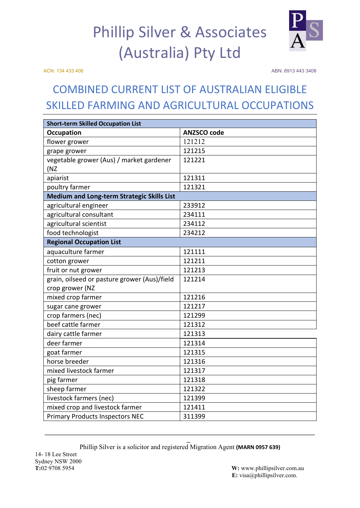## Phillip Silver & Associates (Australia) Pty Ltd

ACN: 134 433 408 ABN: 8913 443 3408

## COMBINED CURRENT LIST OF AUSTRALIAN ELIGIBLE SKILLED FARMING AND AGRICULTURAL OCCUPATIONS

| <b>Short-term Skilled Occupation List</b>         |                    |
|---------------------------------------------------|--------------------|
| <b>Occupation</b>                                 | <b>ANZSCO code</b> |
| flower grower                                     | 121212             |
| grape grower                                      | 121215             |
| vegetable grower (Aus) / market gardener          | 121221             |
| (NZ                                               |                    |
| apiarist                                          | 121311             |
| poultry farmer                                    | 121321             |
| <b>Medium and Long-term Strategic Skills List</b> |                    |
| agricultural engineer                             | 233912             |
| agricultural consultant                           | 234111             |
| agricultural scientist                            | 234112             |
| food technologist                                 | 234212             |
| <b>Regional Occupation List</b>                   |                    |
| aquaculture farmer                                | 121111             |
| cotton grower                                     | 121211             |
| fruit or nut grower                               | 121213             |
| grain, oilseed or pasture grower (Aus)/field      | 121214             |
| crop grower (NZ                                   |                    |
| mixed crop farmer                                 | 121216             |
| sugar cane grower                                 | 121217             |
| crop farmers (nec)                                | 121299             |
| beef cattle farmer                                | 121312             |
| dairy cattle farmer                               | 121313             |
| deer farmer                                       | 121314             |
| goat farmer                                       | 121315             |
| horse breeder                                     | 121316             |
| mixed livestock farmer                            | 121317             |
| pig farmer                                        | 121318             |
| sheep farmer                                      | 121322             |
| livestock farmers (nec)                           | 121399             |
| mixed crop and livestock farmer                   | 121411             |
| <b>Primary Products Inspectors NEC</b>            | 311399             |

\_ Phillip Silver is a solicitor and registered Migration Agent **(MARN 0957 639)**

 $\_$  , and the set of the set of the set of the set of the set of the set of the set of the set of the set of the set of the set of the set of the set of the set of the set of the set of the set of the set of the set of th

**W:** [www.phillipsilver.com.au](http://www.phillipsilver.com.au/) **E:** visa@phillipsilver.com.